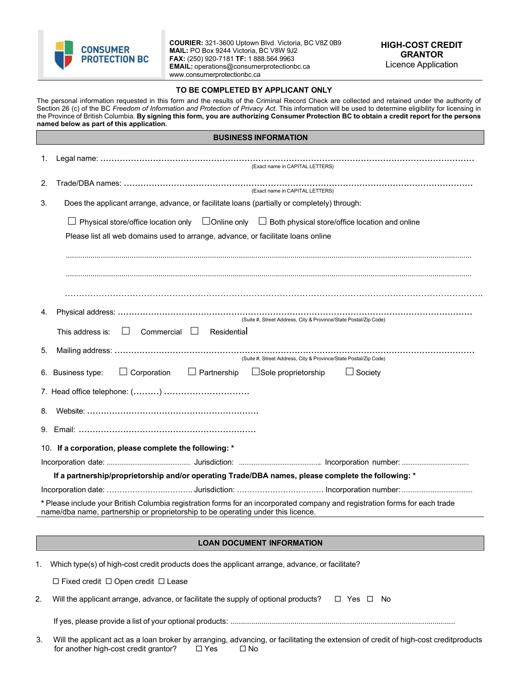

**COURIER:** 321-3600 Uptown Blvd. Victoria, BC V8Z 0B9 **MAIL:** PO Box 9244 Victoria, BC V8W 9J2 **FAX:** (250) 920-7181 **TF:** 1 888.564.9963 **EMAIL:** [operations@consumerprotectionbc.ca](mailto:operations@consumerprotectionbc.ca) [www.consumerprotectionbc.ca](http://www.consumerprotectionbc.ca/)

## **TO BE COMPLETED BY APPLICANT ONLY**

The personal information requested in this form and the results of the Criminal Record Check are collected and retained under the authority of Section 26 (c) of the BC *Freedom of Information and Protection of Privacy Act*. This information will be used to determine eligibility for licensing in the Province of British Columbia. **By signing this form, you are authorizing Consumer Protection BC to obtain a credit report for the persons named below as part of this application.**

|                                                                                                                                                                                                                 | <b>BUSINESS INFORMATION</b>                                                                                         |  |  |  |
|-----------------------------------------------------------------------------------------------------------------------------------------------------------------------------------------------------------------|---------------------------------------------------------------------------------------------------------------------|--|--|--|
| 1.                                                                                                                                                                                                              | (Exact name in CAPITAL LETTERS)                                                                                     |  |  |  |
| 2.                                                                                                                                                                                                              | (Exact name in CAPITAL LETTERS)                                                                                     |  |  |  |
| 3.                                                                                                                                                                                                              | Does the applicant arrange, advance, or facilitate loans (partially or completely) through:                         |  |  |  |
|                                                                                                                                                                                                                 | $\Box$ Physical store/office location only $\Box$ Online only $\Box$ Both physical store/office location and online |  |  |  |
| Please list all web domains used to arrange, advance, or facilitate loans online                                                                                                                                |                                                                                                                     |  |  |  |
|                                                                                                                                                                                                                 |                                                                                                                     |  |  |  |
|                                                                                                                                                                                                                 |                                                                                                                     |  |  |  |
|                                                                                                                                                                                                                 |                                                                                                                     |  |  |  |
| 4.                                                                                                                                                                                                              | (Suite #, Street Address, City & Province/State Postal/Zip Code)                                                    |  |  |  |
| $Commercial$ Residential<br>$\Box$<br>This address is:                                                                                                                                                          |                                                                                                                     |  |  |  |
| 5.                                                                                                                                                                                                              | (Suite #, Street Address, City & Province/State Postal/Zip Code)                                                    |  |  |  |
|                                                                                                                                                                                                                 | $\Box$ Corporation $\Box$ Partnership<br>$\Box$ Sole proprietorship<br>6. Business type:<br>$\Box$ Society          |  |  |  |
|                                                                                                                                                                                                                 |                                                                                                                     |  |  |  |
| 8.                                                                                                                                                                                                              |                                                                                                                     |  |  |  |
|                                                                                                                                                                                                                 |                                                                                                                     |  |  |  |
| 10. If a corporation, please complete the following: *                                                                                                                                                          |                                                                                                                     |  |  |  |
|                                                                                                                                                                                                                 |                                                                                                                     |  |  |  |
| If a partnership/proprietorship and/or operating Trade/DBA names, please complete the following: *                                                                                                              |                                                                                                                     |  |  |  |
|                                                                                                                                                                                                                 |                                                                                                                     |  |  |  |
| * Please include your British Columbia registration forms for an incorporated company and registration forms for each trade<br>name/dba name, partnership or proprietorship to be operating under this licence. |                                                                                                                     |  |  |  |
|                                                                                                                                                                                                                 |                                                                                                                     |  |  |  |
| <b>LOAN DOCUMENT INFORMATION</b>                                                                                                                                                                                |                                                                                                                     |  |  |  |
| Which type(s) of high-cost credit products does the applicant arrange, advance, or facilitate?<br>1.                                                                                                            |                                                                                                                     |  |  |  |
| □ Fixed credit □ Open credit □ Lease                                                                                                                                                                            |                                                                                                                     |  |  |  |
| 2.<br>Will the applicant arrange, advance, or facilitate the supply of optional products?<br>$\Box$ Yes $\Box$ No                                                                                               |                                                                                                                     |  |  |  |
|                                                                                                                                                                                                                 |                                                                                                                     |  |  |  |

3. Will the applicant act as a loan broker by arranging, advancing, or facilitating the extension of credit of high-cost creditproducts for another high-cost credit grantor?  $\square$  Yes  $\square$  No for another high-cost credit grantor?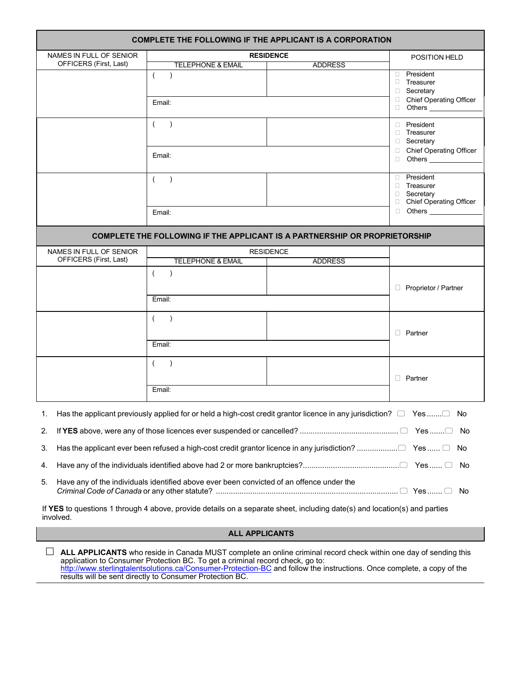| <b>COMPLETE THE FOLLOWING IF THE APPLICANT IS A CORPORATION</b>                                                                                                                                                                                                                                                                                                                         |                              |                  |                                           |  |  |
|-----------------------------------------------------------------------------------------------------------------------------------------------------------------------------------------------------------------------------------------------------------------------------------------------------------------------------------------------------------------------------------------|------------------------------|------------------|-------------------------------------------|--|--|
| NAMES IN FULL OF SENIOR                                                                                                                                                                                                                                                                                                                                                                 |                              | <b>RESIDENCE</b> | POSITION HELD                             |  |  |
| OFFICERS (First, Last)                                                                                                                                                                                                                                                                                                                                                                  | TELEPHONE & EMAIL            | <b>ADDRESS</b>   |                                           |  |  |
|                                                                                                                                                                                                                                                                                                                                                                                         | $\left($<br>$\lambda$        |                  | <b>D</b> President<br>$\Box$ Treasurer    |  |  |
|                                                                                                                                                                                                                                                                                                                                                                                         |                              |                  | □ Secretary                               |  |  |
|                                                                                                                                                                                                                                                                                                                                                                                         | Email:                       |                  | Chief Operating Officer<br>Others _______ |  |  |
|                                                                                                                                                                                                                                                                                                                                                                                         | $\left($<br>$\lambda$        |                  | <b>President</b>                          |  |  |
|                                                                                                                                                                                                                                                                                                                                                                                         |                              |                  | <b>Treasurer</b>                          |  |  |
|                                                                                                                                                                                                                                                                                                                                                                                         |                              |                  | □ Secretary<br>□ Chief Operating Officer  |  |  |
|                                                                                                                                                                                                                                                                                                                                                                                         | Email:                       |                  | □ Others <u>_______</u>                   |  |  |
|                                                                                                                                                                                                                                                                                                                                                                                         | $\sqrt{2}$<br>$\lambda$      |                  | <b>President</b>                          |  |  |
|                                                                                                                                                                                                                                                                                                                                                                                         |                              |                  | <b>Treasurer</b><br>□ Secretary           |  |  |
|                                                                                                                                                                                                                                                                                                                                                                                         |                              |                  | <b>Chief Operating Officer</b><br>$\Box$  |  |  |
|                                                                                                                                                                                                                                                                                                                                                                                         | Email:                       |                  | <b>Others</b><br>$\Box$                   |  |  |
| COMPLETE THE FOLLOWING IF THE APPLICANT IS A PARTNERSHIP OR PROPRIETORSHIP                                                                                                                                                                                                                                                                                                              |                              |                  |                                           |  |  |
| NAMES IN FULL OF SENIOR                                                                                                                                                                                                                                                                                                                                                                 |                              | <b>RESIDENCE</b> |                                           |  |  |
| OFFICERS (First, Last)                                                                                                                                                                                                                                                                                                                                                                  | <b>TELEPHONE &amp; EMAIL</b> | <b>ADDRESS</b>   |                                           |  |  |
|                                                                                                                                                                                                                                                                                                                                                                                         | $\left($<br>$\lambda$        |                  |                                           |  |  |
|                                                                                                                                                                                                                                                                                                                                                                                         |                              |                  | Proprietor / Partner                      |  |  |
|                                                                                                                                                                                                                                                                                                                                                                                         | Email:                       |                  |                                           |  |  |
|                                                                                                                                                                                                                                                                                                                                                                                         | $\sqrt{2}$<br>$\lambda$      |                  |                                           |  |  |
|                                                                                                                                                                                                                                                                                                                                                                                         |                              |                  | $\Box$ Partner                            |  |  |
|                                                                                                                                                                                                                                                                                                                                                                                         | Email:                       |                  |                                           |  |  |
|                                                                                                                                                                                                                                                                                                                                                                                         | (                            |                  |                                           |  |  |
|                                                                                                                                                                                                                                                                                                                                                                                         |                              | $\Box$ Partner   |                                           |  |  |
|                                                                                                                                                                                                                                                                                                                                                                                         | Email:                       |                  |                                           |  |  |
|                                                                                                                                                                                                                                                                                                                                                                                         |                              |                  |                                           |  |  |
| 1. Has the applicant previously applied for or held a high-cost credit grantor licence in any jurisdiction? $\Box$ Yes $\Box$ No                                                                                                                                                                                                                                                        |                              |                  |                                           |  |  |
| 2.                                                                                                                                                                                                                                                                                                                                                                                      |                              |                  |                                           |  |  |
| Has the applicant ever been refused a high-cost credit grantor licence in any jurisdiction? □ Yes  □ No<br>3.                                                                                                                                                                                                                                                                           |                              |                  |                                           |  |  |
| 4.<br>No.                                                                                                                                                                                                                                                                                                                                                                               |                              |                  |                                           |  |  |
| 5.<br>Have any of the individuals identified above ever been convicted of an offence under the                                                                                                                                                                                                                                                                                          |                              |                  |                                           |  |  |
| If YES to questions 1 through 4 above, provide details on a separate sheet, including date(s) and location(s) and parties<br>involved.                                                                                                                                                                                                                                                  |                              |                  |                                           |  |  |
| <b>ALL APPLICANTS</b>                                                                                                                                                                                                                                                                                                                                                                   |                              |                  |                                           |  |  |
| ALL APPLICANTS who reside in Canada MUST complete an online criminal record check within one day of sending this<br>application to Consumer Protection BC. To get a criminal record check, go to:<br>http://www.sterlingtalentsolutions.ca/Consumer-Protection-BC and follow the instructions. Once complete, a copy of the<br>results will be sent directly to Consumer Protection BC. |                              |                  |                                           |  |  |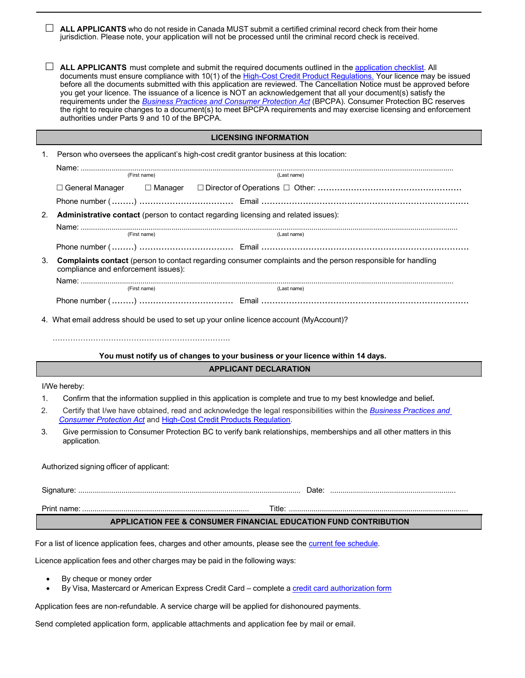| ALL APPLICANTS who do not reside in Canada MUST submit a certified criminal record check from their home<br>jurisdiction. Please note, your application will not be processed until the criminal record check is received.                                                                                                                                                                                                                                                                                                                                                                                                                                                                                                                                                      |  |  |  |  |
|---------------------------------------------------------------------------------------------------------------------------------------------------------------------------------------------------------------------------------------------------------------------------------------------------------------------------------------------------------------------------------------------------------------------------------------------------------------------------------------------------------------------------------------------------------------------------------------------------------------------------------------------------------------------------------------------------------------------------------------------------------------------------------|--|--|--|--|
| ALL APPLICANTS must complete and submit the required documents outlined in the application checklist. All<br>documents must ensure compliance with 10(1) of the High-Cost Credit Product Regulations. Your licence may be issued<br>before all the documents submitted with this application are reviewed. The Cancellation Notice must be approved before<br>you get your licence. The issuance of a licence is NOT an acknowledgement that all your document(s) satisfy the<br>requirements under the <b>Business Practices and Consumer Protection Act</b> (BPCPA). Consumer Protection BC reserves<br>the right to require changes to a document(s) to meet BPCPA requirements and may exercise licensing and enforcement<br>authorities under Parts 9 and 10 of the BPCPA. |  |  |  |  |
| <b>LICENSING INFORMATION</b>                                                                                                                                                                                                                                                                                                                                                                                                                                                                                                                                                                                                                                                                                                                                                    |  |  |  |  |
| Person who oversees the applicant's high-cost credit grantor business at this location:<br>1.                                                                                                                                                                                                                                                                                                                                                                                                                                                                                                                                                                                                                                                                                   |  |  |  |  |
| (First name)<br>(Last name)                                                                                                                                                                                                                                                                                                                                                                                                                                                                                                                                                                                                                                                                                                                                                     |  |  |  |  |
|                                                                                                                                                                                                                                                                                                                                                                                                                                                                                                                                                                                                                                                                                                                                                                                 |  |  |  |  |
|                                                                                                                                                                                                                                                                                                                                                                                                                                                                                                                                                                                                                                                                                                                                                                                 |  |  |  |  |
| Administrative contact (person to contact regarding licensing and related issues):<br>2.                                                                                                                                                                                                                                                                                                                                                                                                                                                                                                                                                                                                                                                                                        |  |  |  |  |
| (Last name)<br>(First name)                                                                                                                                                                                                                                                                                                                                                                                                                                                                                                                                                                                                                                                                                                                                                     |  |  |  |  |
|                                                                                                                                                                                                                                                                                                                                                                                                                                                                                                                                                                                                                                                                                                                                                                                 |  |  |  |  |
| Complaints contact (person to contact regarding consumer complaints and the person responsible for handling<br>3.<br>compliance and enforcement issues):                                                                                                                                                                                                                                                                                                                                                                                                                                                                                                                                                                                                                        |  |  |  |  |
| (First name)<br>(Last name)                                                                                                                                                                                                                                                                                                                                                                                                                                                                                                                                                                                                                                                                                                                                                     |  |  |  |  |
|                                                                                                                                                                                                                                                                                                                                                                                                                                                                                                                                                                                                                                                                                                                                                                                 |  |  |  |  |
| 4. What email address should be used to set up your online licence account (MyAccount)?                                                                                                                                                                                                                                                                                                                                                                                                                                                                                                                                                                                                                                                                                         |  |  |  |  |
|                                                                                                                                                                                                                                                                                                                                                                                                                                                                                                                                                                                                                                                                                                                                                                                 |  |  |  |  |
| You must notify us of changes to your business or your licence within 14 days.                                                                                                                                                                                                                                                                                                                                                                                                                                                                                                                                                                                                                                                                                                  |  |  |  |  |
| <b>APPLICANT DECLARATION</b>                                                                                                                                                                                                                                                                                                                                                                                                                                                                                                                                                                                                                                                                                                                                                    |  |  |  |  |
| I/We hereby:                                                                                                                                                                                                                                                                                                                                                                                                                                                                                                                                                                                                                                                                                                                                                                    |  |  |  |  |
| Confirm that the information supplied in this application is complete and true to my best knowledge and belief.<br>1.<br>2.<br>Certify that I/we have obtained, read and acknowledge the legal responsibilities within the Business Practices and                                                                                                                                                                                                                                                                                                                                                                                                                                                                                                                               |  |  |  |  |
| <b>Consumer Protection Act and High-Cost Credit Products Regulation.</b>                                                                                                                                                                                                                                                                                                                                                                                                                                                                                                                                                                                                                                                                                                        |  |  |  |  |
| Give permission to Consumer Protection BC to verify bank relationships, memberships and all other matters in this<br>3.<br>application.                                                                                                                                                                                                                                                                                                                                                                                                                                                                                                                                                                                                                                         |  |  |  |  |
| Authorized signing officer of applicant:                                                                                                                                                                                                                                                                                                                                                                                                                                                                                                                                                                                                                                                                                                                                        |  |  |  |  |
|                                                                                                                                                                                                                                                                                                                                                                                                                                                                                                                                                                                                                                                                                                                                                                                 |  |  |  |  |
|                                                                                                                                                                                                                                                                                                                                                                                                                                                                                                                                                                                                                                                                                                                                                                                 |  |  |  |  |
| <b>APPLICATION FEE &amp; CONSUMER FINANCIAL EDUCATION FUND CONTRIBUTION</b>                                                                                                                                                                                                                                                                                                                                                                                                                                                                                                                                                                                                                                                                                                     |  |  |  |  |

For a list of licence application fees, charges and other amounts, please see the **[current fee](https://www.consumerprotectionbc.ca/get-keep-licence/high-cost-credit-granting/know-your-fees/) schedule**.

Licence application fees and other charges may be paid in the following ways:

• By cheque or money order

Г

• By Visa, Mastercard or American Express Credit Card – complete [a credit card authorization](https://www.consumerprotectionbc.ca/wordpress/wp-content/uploads/2018/10/Credit-Card-Authorization-Form.pdf) form

Application fees are non-refundable. A service charge will be applied for dishonoured payments.

Send completed application form, applicable attachments and application fee by mail or email.